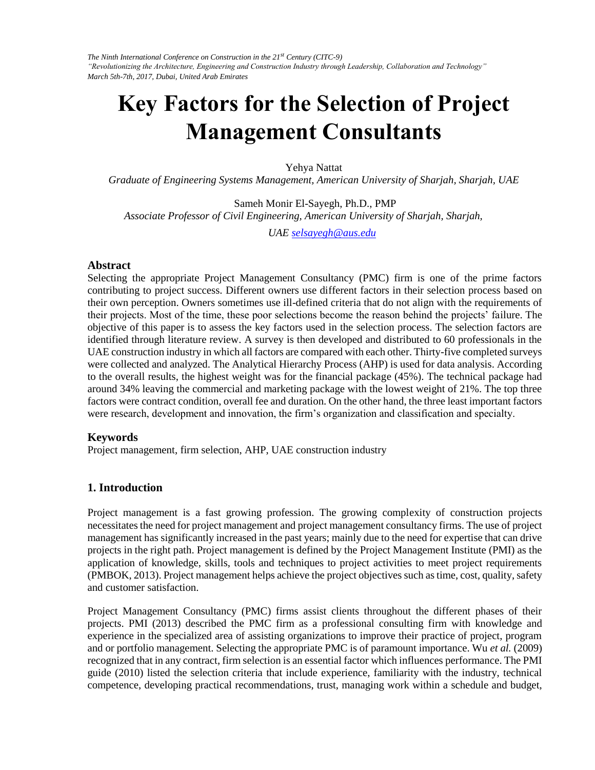# **Key Factors for the Selection of Project Management Consultants**

Yehya Nattat

*Graduate of Engineering Systems Management, American University of Sharjah, Sharjah, UAE* 

Sameh Monir El-Sayegh, Ph.D., PMP *Associate Professor of Civil Engineering, American University of Sharjah, Sharjah,* 

*UAE selsayegh@aus.edu* 

#### **Abstract**

Selecting the appropriate Project Management Consultancy (PMC) firm is one of the prime factors contributing to project success. Different owners use different factors in their selection process based on their own perception. Owners sometimes use ill-defined criteria that do not align with the requirements of their projects. Most of the time, these poor selections become the reason behind the projects' failure. The objective of this paper is to assess the key factors used in the selection process. The selection factors are identified through literature review. A survey is then developed and distributed to 60 professionals in the UAE construction industry in which all factors are compared with each other. Thirty-five completed surveys were collected and analyzed. The Analytical Hierarchy Process (AHP) is used for data analysis. According to the overall results, the highest weight was for the financial package (45%). The technical package had around 34% leaving the commercial and marketing package with the lowest weight of 21%. The top three factors were contract condition, overall fee and duration. On the other hand, the three least important factors were research, development and innovation, the firm's organization and classification and specialty.

#### **Keywords**

Project management, firm selection, AHP, UAE construction industry

### **1. Introduction**

Project management is a fast growing profession. The growing complexity of construction projects necessitates the need for project management and project management consultancy firms. The use of project management has significantly increased in the past years; mainly due to the need for expertise that can drive projects in the right path. Project management is defined by the Project Management Institute (PMI) as the application of knowledge, skills, tools and techniques to project activities to meet project requirements (PMBOK, 2013). Project management helps achieve the project objectives such as time, cost, quality, safety and customer satisfaction.

Project Management Consultancy (PMC) firms assist clients throughout the different phases of their projects. PMI (2013) described the PMC firm as a professional consulting firm with knowledge and experience in the specialized area of assisting organizations to improve their practice of project, program and or portfolio management. Selecting the appropriate PMC is of paramount importance. Wu *et al.* (2009) recognized that in any contract, firm selection is an essential factor which influences performance. The PMI guide (2010) listed the selection criteria that include experience, familiarity with the industry, technical competence, developing practical recommendations, trust, managing work within a schedule and budget,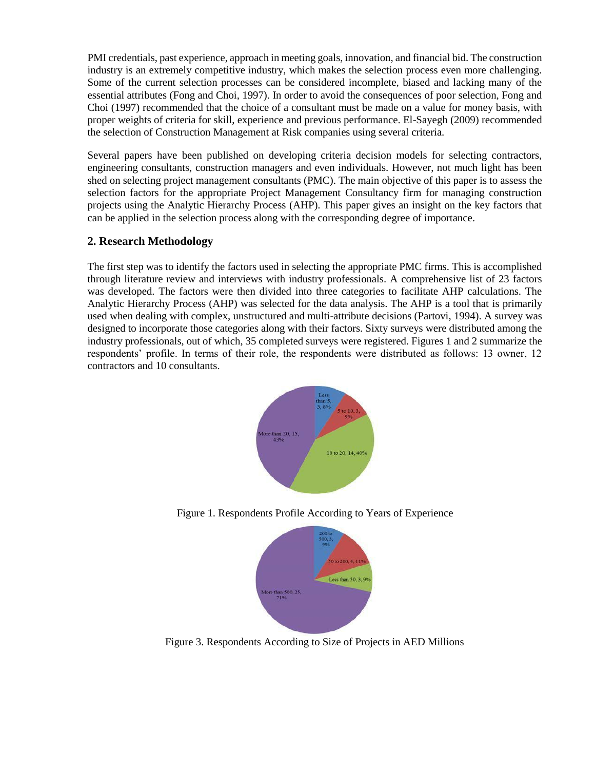PMI credentials, past experience, approach in meeting goals, innovation, and financial bid. The construction industry is an extremely competitive industry, which makes the selection process even more challenging. Some of the current selection processes can be considered incomplete, biased and lacking many of the essential attributes (Fong and Choi, 1997). In order to avoid the consequences of poor selection, Fong and Choi (1997) recommended that the choice of a consultant must be made on a value for money basis, with proper weights of criteria for skill, experience and previous performance. El-Sayegh (2009) recommended the selection of Construction Management at Risk companies using several criteria.

Several papers have been published on developing criteria decision models for selecting contractors, engineering consultants, construction managers and even individuals. However, not much light has been shed on selecting project management consultants (PMC). The main objective of this paper is to assess the selection factors for the appropriate Project Management Consultancy firm for managing construction projects using the Analytic Hierarchy Process (AHP). This paper gives an insight on the key factors that can be applied in the selection process along with the corresponding degree of importance.

# **2. Research Methodology**

The first step was to identify the factors used in selecting the appropriate PMC firms. This is accomplished through literature review and interviews with industry professionals. A comprehensive list of 23 factors was developed. The factors were then divided into three categories to facilitate AHP calculations. The Analytic Hierarchy Process (AHP) was selected for the data analysis. The AHP is a tool that is primarily used when dealing with complex, unstructured and multi-attribute decisions (Partovi, 1994). A survey was designed to incorporate those categories along with their factors. Sixty surveys were distributed among the industry professionals, out of which, 35 completed surveys were registered. Figures 1 and 2 summarize the respondents' profile. In terms of their role, the respondents were distributed as follows: 13 owner, 12 contractors and 10 consultants.



Figure 1. Respondents Profile According to Years of Experience



Figure 3. Respondents According to Size of Projects in AED Millions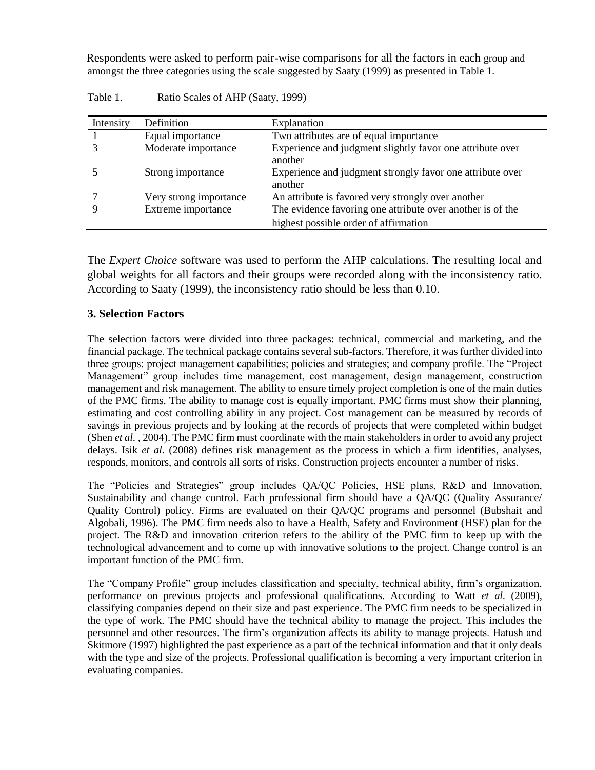Respondents were asked to perform pair-wise comparisons for all the factors in each group and amongst the three categories using the scale suggested by Saaty (1999) as presented in Table 1.

| Intensity | Definition             | Explanation                                                                                         |
|-----------|------------------------|-----------------------------------------------------------------------------------------------------|
|           | Equal importance       | Two attributes are of equal importance                                                              |
|           | Moderate importance    | Experience and judgment slightly favor one attribute over<br>another                                |
|           | Strong importance      | Experience and judgment strongly favor one attribute over<br>another                                |
|           | Very strong importance | An attribute is favored very strongly over another                                                  |
|           | Extreme importance     | The evidence favoring one attribute over another is of the<br>highest possible order of affirmation |

| Table 1. |  |                                   |  |
|----------|--|-----------------------------------|--|
|          |  | Ratio Scales of AHP (Saaty, 1999) |  |

The *Expert Choice* software was used to perform the AHP calculations. The resulting local and global weights for all factors and their groups were recorded along with the inconsistency ratio. According to Saaty (1999), the inconsistency ratio should be less than 0.10.

# **3. Selection Factors**

The selection factors were divided into three packages: technical, commercial and marketing, and the financial package. The technical package contains several sub-factors. Therefore, it was further divided into three groups: project management capabilities; policies and strategies; and company profile. The "Project Management" group includes time management, cost management, design management, construction management and risk management. The ability to ensure timely project completion is one of the main duties of the PMC firms. The ability to manage cost is equally important. PMC firms must show their planning, estimating and cost controlling ability in any project. Cost management can be measured by records of savings in previous projects and by looking at the records of projects that were completed within budget (Shen *et al.* , 2004). The PMC firm must coordinate with the main stakeholders in order to avoid any project delays. Isik *et al.* (2008) defines risk management as the process in which a firm identifies, analyses, responds, monitors, and controls all sorts of risks. Construction projects encounter a number of risks.

The "Policies and Strategies" group includes QA/QC Policies, HSE plans, R&D and Innovation, Sustainability and change control. Each professional firm should have a QA/QC (Quality Assurance/ Quality Control) policy. Firms are evaluated on their QA/QC programs and personnel (Bubshait and Algobali, 1996). The PMC firm needs also to have a Health, Safety and Environment (HSE) plan for the project. The R&D and innovation criterion refers to the ability of the PMC firm to keep up with the technological advancement and to come up with innovative solutions to the project. Change control is an important function of the PMC firm.

The "Company Profile" group includes classification and specialty, technical ability, firm's organization, performance on previous projects and professional qualifications. According to Watt *et al.* (2009), classifying companies depend on their size and past experience. The PMC firm needs to be specialized in the type of work. The PMC should have the technical ability to manage the project. This includes the personnel and other resources. The firm's organization affects its ability to manage projects. Hatush and Skitmore (1997) highlighted the past experience as a part of the technical information and that it only deals with the type and size of the projects. Professional qualification is becoming a very important criterion in evaluating companies.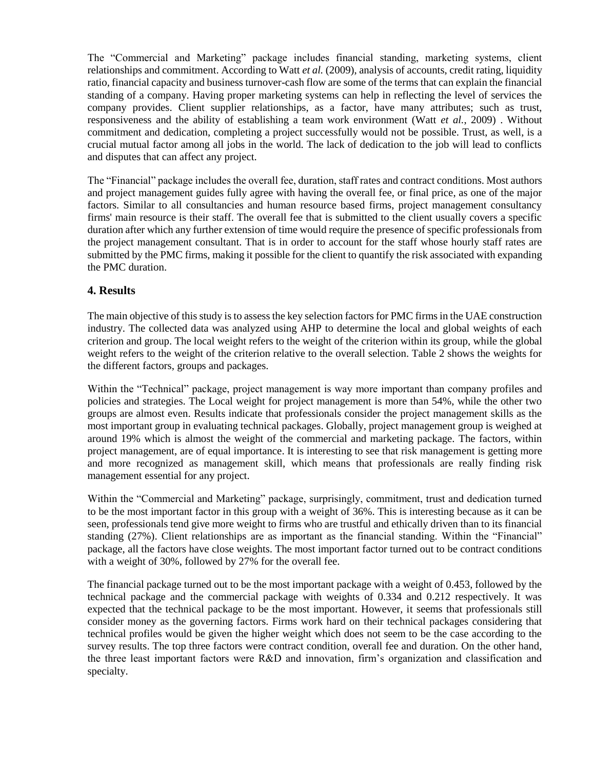The "Commercial and Marketing" package includes financial standing, marketing systems, client relationships and commitment. According to Watt *et al.* (2009), analysis of accounts, credit rating, liquidity ratio, financial capacity and business turnover-cash flow are some of the terms that can explain the financial standing of a company. Having proper marketing systems can help in reflecting the level of services the company provides. Client supplier relationships, as a factor, have many attributes; such as trust, responsiveness and the ability of establishing a team work environment (Watt *et al.*, 2009) . Without commitment and dedication, completing a project successfully would not be possible. Trust, as well, is a crucial mutual factor among all jobs in the world. The lack of dedication to the job will lead to conflicts and disputes that can affect any project.

The "Financial" package includes the overall fee, duration, staff rates and contract conditions. Most authors and project management guides fully agree with having the overall fee, or final price, as one of the major factors. Similar to all consultancies and human resource based firms, project management consultancy firms' main resource is their staff. The overall fee that is submitted to the client usually covers a specific duration after which any further extension of time would require the presence of specific professionals from the project management consultant. That is in order to account for the staff whose hourly staff rates are submitted by the PMC firms, making it possible for the client to quantify the risk associated with expanding the PMC duration.

# **4. Results**

The main objective of this study is to assess the key selection factors for PMC firms in the UAE construction industry. The collected data was analyzed using AHP to determine the local and global weights of each criterion and group. The local weight refers to the weight of the criterion within its group, while the global weight refers to the weight of the criterion relative to the overall selection. Table 2 shows the weights for the different factors, groups and packages.

Within the "Technical" package, project management is way more important than company profiles and policies and strategies. The Local weight for project management is more than 54%, while the other two groups are almost even. Results indicate that professionals consider the project management skills as the most important group in evaluating technical packages. Globally, project management group is weighed at around 19% which is almost the weight of the commercial and marketing package. The factors, within project management, are of equal importance. It is interesting to see that risk management is getting more and more recognized as management skill, which means that professionals are really finding risk management essential for any project.

Within the "Commercial and Marketing" package, surprisingly, commitment, trust and dedication turned to be the most important factor in this group with a weight of 36%. This is interesting because as it can be seen, professionals tend give more weight to firms who are trustful and ethically driven than to its financial standing (27%). Client relationships are as important as the financial standing. Within the "Financial" package, all the factors have close weights. The most important factor turned out to be contract conditions with a weight of 30%, followed by 27% for the overall fee.

The financial package turned out to be the most important package with a weight of 0.453, followed by the technical package and the commercial package with weights of 0.334 and 0.212 respectively. It was expected that the technical package to be the most important. However, it seems that professionals still consider money as the governing factors. Firms work hard on their technical packages considering that technical profiles would be given the higher weight which does not seem to be the case according to the survey results. The top three factors were contract condition, overall fee and duration. On the other hand, the three least important factors were R&D and innovation, firm's organization and classification and specialty.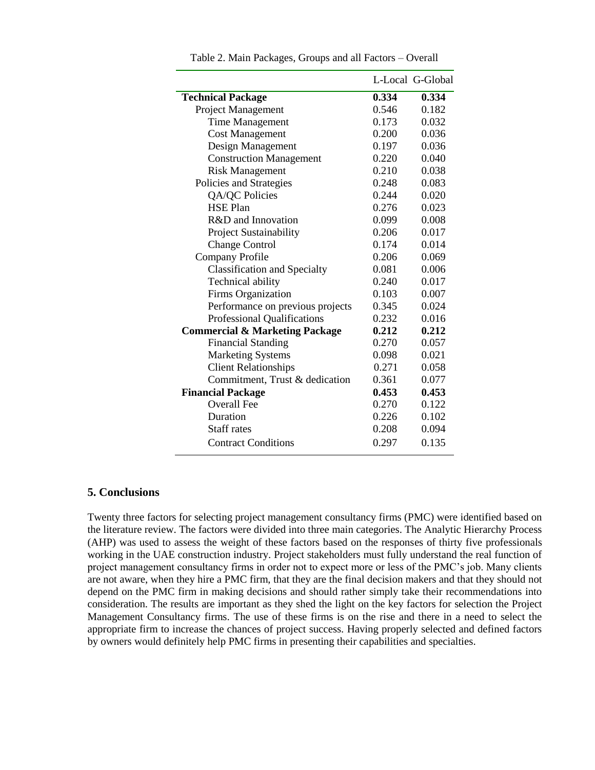|                                           |       | L-Local G-Global |
|-------------------------------------------|-------|------------------|
| <b>Technical Package</b>                  | 0.334 | 0.334            |
| Project Management                        | 0.546 | 0.182            |
| <b>Time Management</b>                    | 0.173 | 0.032            |
| <b>Cost Management</b>                    | 0.200 | 0.036            |
| Design Management                         | 0.197 | 0.036            |
| <b>Construction Management</b>            | 0.220 | 0.040            |
| <b>Risk Management</b>                    | 0.210 | 0.038            |
| Policies and Strategies                   | 0.248 | 0.083            |
| QA/QC Policies                            | 0.244 | 0.020            |
| <b>HSE Plan</b>                           | 0.276 | 0.023            |
| R&D and Innovation                        | 0.099 | 0.008            |
| Project Sustainability                    | 0.206 | 0.017            |
| <b>Change Control</b>                     | 0.174 | 0.014            |
| Company Profile                           | 0.206 | 0.069            |
| <b>Classification and Specialty</b>       | 0.081 | 0.006            |
| Technical ability                         | 0.240 | 0.017            |
| Firms Organization                        | 0.103 | 0.007            |
| Performance on previous projects          | 0.345 | 0.024            |
| Professional Qualifications               | 0.232 | 0.016            |
| <b>Commercial &amp; Marketing Package</b> | 0.212 | 0.212            |
| <b>Financial Standing</b>                 | 0.270 | 0.057            |
| <b>Marketing Systems</b>                  | 0.098 | 0.021            |
| <b>Client Relationships</b>               | 0.271 | 0.058            |
| Commitment, Trust & dedication            | 0.361 | 0.077            |
| <b>Financial Package</b>                  | 0.453 | 0.453            |
| <b>Overall Fee</b>                        | 0.270 | 0.122            |
| Duration                                  | 0.226 | 0.102            |
| <b>Staff rates</b>                        | 0.208 | 0.094            |
| <b>Contract Conditions</b>                | 0.297 | 0.135            |

Table 2. Main Packages, Groups and all Factors – Overall

#### **5. Conclusions**

Twenty three factors for selecting project management consultancy firms (PMC) were identified based on the literature review. The factors were divided into three main categories. The Analytic Hierarchy Process (AHP) was used to assess the weight of these factors based on the responses of thirty five professionals working in the UAE construction industry. Project stakeholders must fully understand the real function of project management consultancy firms in order not to expect more or less of the PMC's job. Many clients are not aware, when they hire a PMC firm, that they are the final decision makers and that they should not depend on the PMC firm in making decisions and should rather simply take their recommendations into consideration. The results are important as they shed the light on the key factors for selection the Project Management Consultancy firms. The use of these firms is on the rise and there in a need to select the appropriate firm to increase the chances of project success. Having properly selected and defined factors by owners would definitely help PMC firms in presenting their capabilities and specialties.